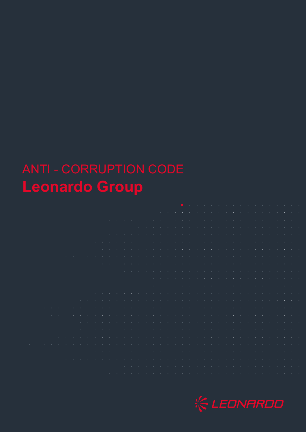# Leonardo Group

|  |  |  | <u>. A series de la casa de la casa de la casa de la casa de la casa de la casa de la casa de la casa de la casa de la casa de la casa de la casa de la casa de la casa de la casa de la casa de la casa de la casa de la casa d</u> |
|--|--|--|--------------------------------------------------------------------------------------------------------------------------------------------------------------------------------------------------------------------------------------|
|  |  |  | the terms of the contract of the contract of the contract of the contract of the contract of the contract of the contract of the contract of the contract of the contract of the contract of the contract of the contract of t       |
|  |  |  | the contract of the contract of the contract of the contract of the contract of the contract of the contract of                                                                                                                      |
|  |  |  | the company of the company of the company of the company of the company of the company of the company of the company of the company of the company of the company of the company of the company of the company of the company        |
|  |  |  | a comparative comparative construction of the comparative comparative comparative comparative comparative comp                                                                                                                       |
|  |  |  | the contract of the contract of the contract of the contract of the contract of the contract of the contract of                                                                                                                      |
|  |  |  | . A series and a series are a series and a series and a series and a series and a series and a series and                                                                                                                            |
|  |  |  | the contract of the contract of the contract of the contract of the contract of the contract of the contract of                                                                                                                      |
|  |  |  | the contract of the contract of the contract of the contract of the contract of the contract of the contract of the contract of the contract of the contract of the contract of the contract of the contract of the contract o       |
|  |  |  | the contract of the contract of the contract of the contract of the contract of the contract of the contract of                                                                                                                      |
|  |  |  | the contract of the contract of the contract of the contract of the contract of the contract of the contract of                                                                                                                      |
|  |  |  |                                                                                                                                                                                                                                      |
|  |  |  | the contract of the contract of the contract of the contract of the contract of the contract of the contract of<br>distribution of the contract of the contract of the contract of the contract of the contract of the contract of   |
|  |  |  | distribution of the contract of the contract of the contract of the contract of the contract of the contract of                                                                                                                      |
|  |  |  |                                                                                                                                                                                                                                      |
|  |  |  |                                                                                                                                                                                                                                      |
|  |  |  | the contract of the contract of the contract of the contract of the contract of the contract of the contract of                                                                                                                      |
|  |  |  | the contract of the contract of the contract of the contract of the contract of the contract of the contract of                                                                                                                      |
|  |  |  | the terms of the state of the state of the state of the state of the state of the state of the state of the state of the state of the state of the state of the state of the state of the state of the state of the state of t       |
|  |  |  | the contract of the contract of the contract of the contract of the contract of the contract of the contract of                                                                                                                      |
|  |  |  | the contract of the contract of the contract of the contract of the contract of the contract of the contract of                                                                                                                      |
|  |  |  | <b>A second a second contract of the contract of the contract of the contract of the contract of the contract of the contract of the contract of the contract of the contract of the contract of the contract of the contract of</b> |
|  |  |  |                                                                                                                                                                                                                                      |

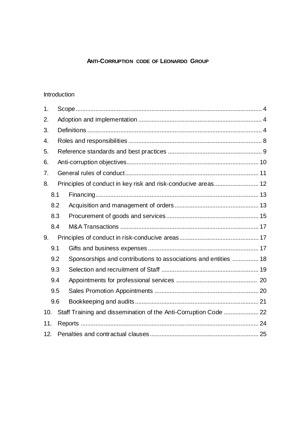# **ANTI-CORRUPTION CODE OF LEONARDO GROUP**

# [Introduction](#page-2-0)

| $\mathbf 1$ .    |     |                                                                  |  |  |  |  |
|------------------|-----|------------------------------------------------------------------|--|--|--|--|
| 2.               |     |                                                                  |  |  |  |  |
| 3.               |     |                                                                  |  |  |  |  |
| $\overline{4}$ . |     |                                                                  |  |  |  |  |
| 5.               |     |                                                                  |  |  |  |  |
| 6.               |     |                                                                  |  |  |  |  |
| 7.               |     |                                                                  |  |  |  |  |
| 8.               |     | Principles of conduct in key risk and risk-conducive areas 12    |  |  |  |  |
|                  | 8.1 |                                                                  |  |  |  |  |
|                  | 8.2 |                                                                  |  |  |  |  |
|                  | 8.3 |                                                                  |  |  |  |  |
|                  | 8.4 |                                                                  |  |  |  |  |
| 9.               |     |                                                                  |  |  |  |  |
|                  | 9.1 |                                                                  |  |  |  |  |
|                  | 9.2 | Sponsorships and contributions to associations and entities  18  |  |  |  |  |
|                  | 9.3 |                                                                  |  |  |  |  |
|                  | 9.4 |                                                                  |  |  |  |  |
|                  | 9.5 |                                                                  |  |  |  |  |
|                  | 9.6 |                                                                  |  |  |  |  |
| 10.              |     | Staff Training and dissemination of the Anti-Corruption Code  22 |  |  |  |  |
|                  | 11. |                                                                  |  |  |  |  |
| 12.              |     |                                                                  |  |  |  |  |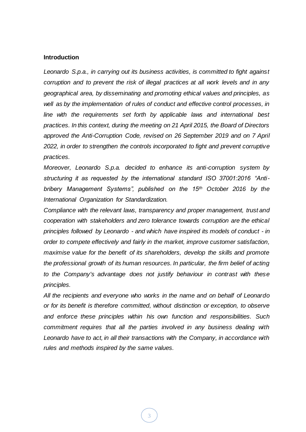#### <span id="page-2-0"></span>**Introduction**

*Leonardo S.p.a., in carrying out its business activities, is committed to fight against corruption and to prevent the risk of illegal practices at all work levels and in any geographical area, by disseminating and promoting ethical values and principles, as well as by the implementation of rules of conduct and effective control processes, in line with the requirements set forth by applicable laws and international best practices. In this context, during the meeting on 21 April 2015, the Board of Directors approved the Anti-Corruption Code, revised on 26 September 2019 and on 7 April 2022, in order to strengthen the controls incorporated to fight and prevent corruptive practices.* 

*Moreover, Leonardo S.p.a. decided to enhance its anti-corruption system by structuring it as requested by the international standard ISO 37001:2016 "Antibribery Management Systems", published on the 15th October 2016 by the International Organization for Standardization.*

*Compliance with the relevant laws, transparency and proper management, trust and cooperation with stakeholders and zero tolerance towards corruption are the ethical principles followed by Leonardo - and which have inspired its models of conduct - in order to compete effectively and fairly in the market, improve customer satisfaction, maximise value for the benefit of its shareholders, develop the skills and promote the professional growth of its human resources. In particular, the firm belief of acting to the Company's advantage does not justify behaviour in contrast with these principles.*

*All the recipients and everyone who works in the name and on behalf of Leonardo or for its benefit is therefore committed, without distinction or exception, to observe and enforce these principles within his own function and responsibilities. Such commitment requires that all the parties involved in any business dealing with Leonardo have to act, in all their transactions with the Company, in accordance with rules and methods inspired by the same values.*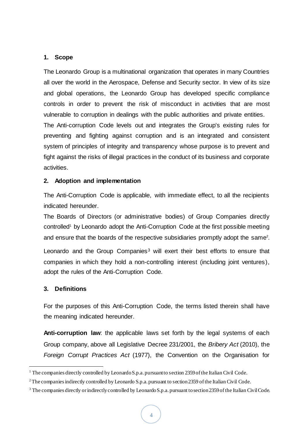# <span id="page-3-0"></span>**1. Scope**

The Leonardo Group is a multinational organization that operates in many Countries all over the world in the Aerospace, Defense and Security sector. In view of its size and global operations, the Leonardo Group has developed specific compliance controls in order to prevent the risk of misconduct in activities that are most vulnerable to corruption in dealings with the public authorities and private entities. The Anti-corruption Code levels out and integrates the Group's existing rules for preventing and fighting against corruption and is an integrated and consistent system of principles of integrity and transparency whose purpose is to prevent and fight against the risks of illegal practices in the conduct of its business and corporate activities.

# <span id="page-3-1"></span>**2. Adoption and implementation**

The Anti-Corruption Code is applicable, with immediate effect, to all the recipients indicated hereunder.

The Boards of Directors (or administrative bodies) of Group Companies directly controlled<sup>1</sup> by Leonardo adopt the Anti-Corruption Code at the first possible meeting and ensure that the boards of the respective subsidiaries promptly adopt the same<sup>2</sup>.

Leonardo and the Group Companies<sup>3</sup> will exert their best efforts to ensure that companies in which they hold a non-controlling interest (including joint ventures), adopt the rules of the Anti-Corruption Code.

# <span id="page-3-2"></span>**3. Definitions**

1

For the purposes of this Anti-Corruption Code, the terms listed therein shall have the meaning indicated hereunder.

**Anti-corruption law**: the applicable laws set forth by the legal systems of each Group company, above all Legislative Decree 231/2001, the *Bribery Act* (2010), the *Foreign Corrupt Practices Act* (1977), the Convention on the Organisation for

<sup>&</sup>lt;sup>1</sup> The companies directly controlled by Leonardo S.p.a. pursuant to section 2359 of the Italian Civil Code.

<sup>2</sup> The companies indirectly controlled by Leonardo S.p.a. pursuant to section 2359 of the Italian Civil Code.

<sup>&</sup>lt;sup>3</sup> The companies directly or indirectly controlled by Leonardo S.p.a. pursuant to section 2359 of the Italian Civil Code.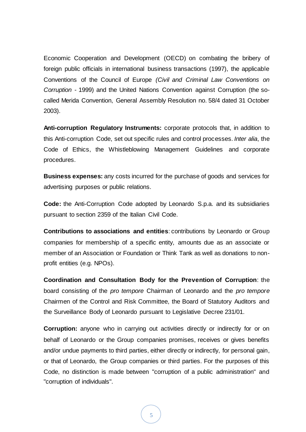Economic Cooperation and Development (OECD) on combating the bribery of foreign public officials in international business transactions (1997), the applicable Conventions of the Council of Europe *(Civil and Criminal Law Conventions on Corruption* - 1999) and the United Nations Convention against Corruption (the socalled Merida Convention, General Assembly Resolution no. 58/4 dated 31 October 2003).

**Anti-corruption Regulatory Instruments:** corporate protocols that, in addition to this Anti-corruption Code, set out specific rules and control processes. *Inter alia*, the Code of Ethics, the Whistleblowing Management Guidelines and corporate procedures.

**Business expenses:** any costs incurred for the purchase of goods and services for advertising purposes or public relations.

**Code:** the Anti-Corruption Code adopted by Leonardo S.p.a. and its subsidiaries pursuant to section 2359 of the Italian Civil Code.

**Contributions to associations and entities**: contributions by Leonardo or Group companies for membership of a specific entity, amounts due as an associate or member of an Association or Foundation or Think Tank as well as donations to nonprofit entities (e.g. NPOs).

**Coordination and Consultation Body for the Prevention of Corruption**: the board consisting of the *pro tempore* Chairman of Leonardo and the *pro tempore* Chairmen of the Control and Risk Committee, the Board of Statutory Auditors and the Surveillance Body of Leonardo pursuant to Legislative Decree 231/01.

**Corruption:** anyone who in carrying out activities directly or indirectly for or on behalf of Leonardo or the Group companies promises, receives or gives benefits and/or undue payments to third parties, either directly or indirectly, for personal gain, or that of Leonardo, the Group companies or third parties. For the purposes of this Code, no distinction is made between "corruption of a public administration" and "corruption of individuals".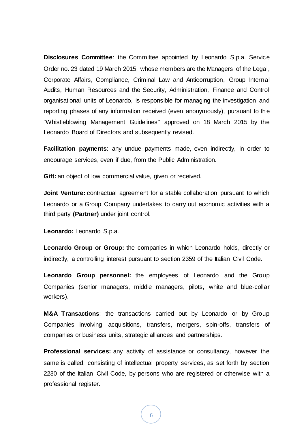**Disclosures Committee**: the Committee appointed by Leonardo S.p.a. Service Order no. 23 dated 19 March 2015, whose members are the Managers of the Legal, Corporate Affairs, Compliance, Criminal Law and Anticorruption, Group Internal Audits, Human Resources and the Security, Administration, Finance and Control organisational units of Leonardo, is responsible for managing the investigation and reporting phases of any information received (even anonymously), pursuant to the "Whistleblowing Management Guidelines" approved on 18 March 2015 by the Leonardo Board of Directors and subsequently revised.

**Facilitation payments**: any undue payments made, even indirectly, in order to encourage services, even if due, from the Public Administration.

**Gift:** an object of low commercial value, given or received.

**Joint Venture:** contractual agreement for a stable collaboration pursuant to which Leonardo or a Group Company undertakes to carry out economic activities with a third party **(Partner)** under joint control.

**Leonardo:** Leonardo S.p.a.

**Leonardo Group or Group:** the companies in which Leonardo holds, directly or indirectly, a controlling interest pursuant to section 2359 of the Italian Civil Code.

**Leonardo Group personnel:** the employees of Leonardo and the Group Companies (senior managers, middle managers, pilots, white and blue-collar workers).

**M&A Transactions**: the transactions carried out by Leonardo or by Group Companies involving acquisitions, transfers, mergers, spin-offs, transfers of companies or business units, strategic alliances and partnerships*.*

**Professional services:** any activity of assistance or consultancy, however the same is called, consisting of intellectual property services, as set forth by section 2230 of the Italian Civil Code, by persons who are registered or otherwise with a professional register.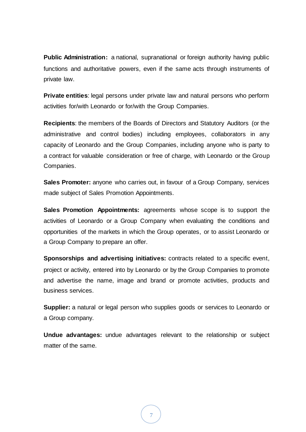**Public Administration:** a national, supranational or foreign authority having public functions and authoritative powers, even if the same acts through instruments of private law.

**Private entities**: legal persons under private law and natural persons who perform activities for/with Leonardo or for/with the Group Companies.

**Recipients**: the members of the Boards of Directors and Statutory Auditors (or the administrative and control bodies) including employees, collaborators in any capacity of Leonardo and the Group Companies, including anyone who is party to a contract for valuable consideration or free of charge, with Leonardo or the Group Companies.

**Sales Promoter:** anyone who carries out, in favour of a Group Company, services made subject of Sales Promotion Appointments.

**Sales Promotion Appointments:** agreements whose scope is to support the activities of Leonardo or a Group Company when evaluating the conditions and opportunities of the markets in which the Group operates, or to assist Leonardo or a Group Company to prepare an offer.

**Sponsorships and advertising initiatives:** contracts related to a specific event, project or activity, entered into by Leonardo or by the Group Companies to promote and advertise the name, image and brand or promote activities, products and business services.

**Supplier:** a natural or legal person who supplies goods or services to Leonardo or a Group company.

**Undue advantages:** undue advantages relevant to the relationship or subject matter of the same.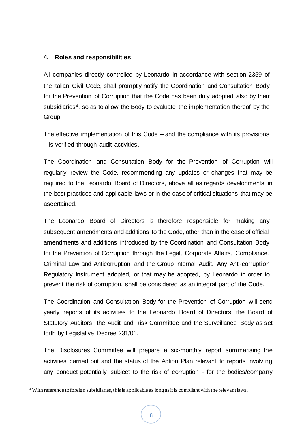#### <span id="page-7-0"></span>**4. Roles and responsibilities**

All companies directly controlled by Leonardo in accordance with section 2359 of the Italian Civil Code, shall promptly notify the Coordination and Consultation Body for the Prevention of Corruption that the Code has been duly adopted also by their subsidiaries<sup>4</sup>, so as to allow the Body to evaluate the implementation thereof by the Group.

The effective implementation of this Code – and the compliance with its provisions – is verified through audit activities.

The Coordination and Consultation Body for the Prevention of Corruption will regularly review the Code, recommending any updates or changes that may be required to the Leonardo Board of Directors, above all as regards developments in the best practices and applicable laws or in the case of critical situations that may be ascertained.

The Leonardo Board of Directors is therefore responsible for making any subsequent amendments and additions to the Code, other than in the case of official amendments and additions introduced by the Coordination and Consultation Body for the Prevention of Corruption through the Legal, Corporate Affairs, Compliance, Criminal Law and Anticorruption and the Group Internal Audit*.* Any Anti-corruption Regulatory Instrument adopted, or that may be adopted, by Leonardo in order to prevent the risk of corruption, shall be considered as an integral part of the Code.

The Coordination and Consultation Body for the Prevention of Corruption will send yearly reports of its activities to the Leonardo Board of Directors, the Board of Statutory Auditors, the Audit and Risk Committee and the Surveillance Body as set forth by Legislative Decree 231/01.

The Disclosures Committee will prepare a six-monthly report summarising the activities carried out and the status of the Action Plan relevant to reports involving any conduct potentially subject to the risk of corruption - for the bodies/company

1

<sup>4</sup> With reference to foreign subsidiaries, this is applicable as long as it is compliant with the relevant laws.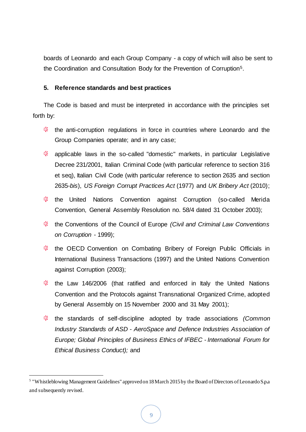boards of Leonardo and each Group Company - a copy of which will also be sent to the Coordination and Consultation Body for the Prevention of Corruption5.

# <span id="page-8-0"></span>**5. Reference standards and best practices**

The Code is based and must be interpreted in accordance with the principles set forth by:

- $\frac{1}{2}$ the anti-corruption regulations in force in countries where Leonardo and the Group Companies operate; and in any case;
- $\frac{1}{\sqrt{2}}$ applicable laws in the so-called "domestic" markets, in particular Legislative Decree 231/2001, Italian Criminal Code (with particular reference to section 316 et seq), Italian Civil Code (with particular reference to section 2635 and section 2635-*bis*), *US Foreign Corrupt Practices Act* (1977) and *UK Bribery Act* (2010);
- the United Nations Convention against Corruption (so-called Merida Convention, General Assembly Resolution no. 58/4 dated 31 October 2003);
- $\epsilon$ the Conventions of the Council of Europe *(Civil and Criminal Law Conventions on Corruption* - 1999);
- the OECD Convention on Combating Bribery of Foreign Public Officials in International Business Transactions (1997) and the United Nations Convention against Corruption (2003);
- $\epsilon$ the Law 146/2006 (that ratified and enforced in Italy the United Nations Convention and the Protocols against Transnational Organized Crime, adopted by General Assembly on 15 November 2000 and 31 May 2001);
- € the standards of self-discipline adopted by trade associations *(Common Industry Standards of ASD - AeroSpace and Defence Industries Association of Europe; Global Principles of Business Ethics of IFBEC - International Forum for Ethical Business Conduct);* and

1

<sup>&</sup>lt;sup>5</sup> "Whistleblowing Management Guidelines" approved on 18 March 2015 by the Board of Directors of Leonardo S.p.a and subsequently revised.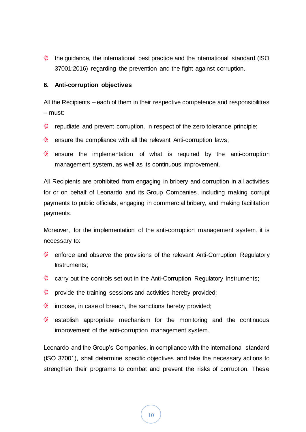the guidance, the international best practice and the international standard (ISO 37001:2016) regarding the prevention and the fight against corruption.

#### <span id="page-9-0"></span>**6. Anti-corruption objectives**

All the Recipients – each of them in their respective competence and responsibilities – must:

- € repudiate and prevent corruption, in respect of the zero tolerance principle;
- $\frac{1}{2}$  ensure the compliance with all the relevant Anti-corruption laws;
- $\frac{1}{2}$  ensure the implementation of what is required by the anti-corruption management system, as well as its continuous improvement.

All Recipients are prohibited from engaging in bribery and corruption in all activities for or on behalf of Leonardo and its Group Companies, including making corrupt payments to public officials, engaging in commercial bribery, and making facilitation payments.

Moreover, for the implementation of the anti-corruption management system, it is necessary to:

- € enforce and observe the provisions of the relevant Anti-Corruption Regulatory Instruments;
- $\frac{1}{2}$  carry out the controls set out in the Anti-Corruption Regulatory Instruments;
- frace provide the training sessions and activities hereby provided;
- $\frac{1}{2}$  impose, in case of breach, the sanctions hereby provided;
- $\frac{1}{2}$ establish appropriate mechanism for the monitoring and the continuous improvement of the anti-corruption management system.

Leonardo and the Group's Companies, in compliance with the international standard (ISO 37001), shall determine specific objectives and take the necessary actions to strengthen their programs to combat and prevent the risks of corruption. These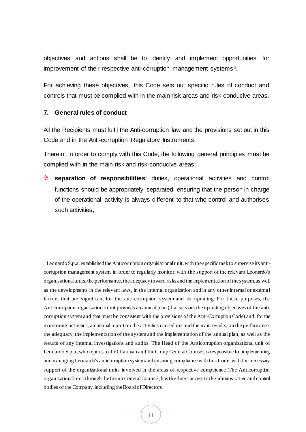objectives and actions shall be to identify and implement opportunities for improvement of their respective anti-corruption management systems<sup>6</sup>.

For achieving these objectives, this Code sets out specific rules of conduct and controls that must be complied with in the main risk areas and risk-conducive areas.

# <span id="page-10-0"></span>**7. General rules of conduct**

1

All the Recipients must fulfil the Anti-corruption law and the provisions set out in this Code and in the Anti-corruption Regulatory Instruments.

Thereto, in order to comply with this Code, the following general principles must be complied with in the main risk and risk-conducive areas:

€ **separation of responsibilities**: duties, operational activities and control functions should be appropriately separated, ensuring that the person in charge of the operational activity is always different to that who control and authorises such activities;

<sup>6</sup> Leonardo S.p.a. established the Anticorruption organisational unit, with the specific task to supervise its anticorruption management system, in order to regularly monitor, with the support of the relevant Leonardo's organisational units, the performance, the adequacy toward risks and the implementation of the system, as well as the developments in the relevant laws, in the internal organization and in any other internal or externa l factors that are significant for the anti-corruption system and its updating. For these purposes, the Anticorruption organisational unit provides an annual plan (that sets out the operating objectives of the anticorruption system and that must be consistent with the provisions of the Anti-Corruption Code) and, for the monitoring activities, an annual report on the activities carried out and the main results, on the performance, the adequacy, the implementation of the system and the implementation of the annual plan, as well as the results of any internal investigations and audits. The Head of the Anticorruption organizational unit of Leonardo S.p.a., who reports to the Chairman and the Group General Counsel, is responsible for implementing and managing Leonardo's anticorruption system and ensuring compliance with this Code, with the necessary support of the organizational units involved in the areas of respective competence. The Anticorruption organisational unit, through the Group General Counsel, has the direct access to the administrative and control bodies of the Company, including the Board of Directors.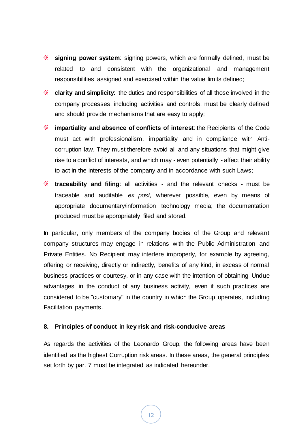- $\epsilon$ **signing power system**: signing powers, which are formally defined, must be related to and consistent with the organizational and management responsibilities assigned and exercised within the value limits defined;
- $\frac{1}{\sqrt{2}}$ **clarity and simplicity**: the duties and responsibilities of all those involved in the company processes, including activities and controls, must be clearly defined and should provide mechanisms that are easy to apply;
- € **impartiality and absence of conflicts of interest**: the Recipients of the Code must act with professionalism, impartiality and in compliance with Anticorruption law. They must therefore avoid all and any situations that might give rise to a conflict of interests, and which may - even potentially - affect their ability to act in the interests of the company and in accordance with such Laws;
- **traceability and filing**: all activities and the relevant checks must be traceable and auditable *ex post,* wherever possible, even by means of appropriate documentary/information technology media; the documentation produced must be appropriately filed and stored.

In particular, only members of the company bodies of the Group and relevant company structures may engage in relations with the Public Administration and Private Entities. No Recipient may interfere improperly, for example by agreeing, offering or receiving, directly or indirectly, benefits of any kind, in excess of normal business practices or courtesy, or in any case with the intention of obtaining Undue advantages in the conduct of any business activity, even if such practices are considered to be "customary" in the country in which the Group operates, including Facilitation payments.

#### <span id="page-11-0"></span>**8. Principles of conduct in key risk and risk-conducive areas**

As regards the activities of the Leonardo Group, the following areas have been identified as the highest Corruption risk areas. In these areas, the general principles set forth by par. 7 must be integrated as indicated hereunder.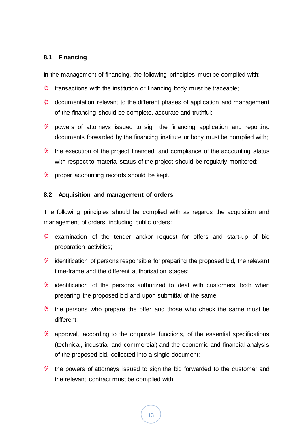# <span id="page-12-0"></span>**8.1 Financing**

In the management of financing, the following principles must be complied with:

- € transactions with the institution or financing body must be traceable;
- € documentation relevant to the different phases of application and management of the financing should be complete, accurate and truthful;
- $\frac{1}{\sqrt{2}}$ powers of attorneys issued to sign the financing application and reporting documents forwarded by the financing institute or body must be complied with;
- the execution of the project financed, and compliance of the accounting status with respect to material status of the project should be regularly monitored;
- € proper accounting records should be kept.

#### <span id="page-12-1"></span>**8.2 Acquisition and management of orders**

The following principles should be complied with as regards the acquisition and management of orders, including public orders:

- " examination of the tender and/or request for offers and start-up of bid preparation activities;
- $\frac{1}{2}$  identification of persons responsible for preparing the proposed bid, the relevant time-frame and the different authorisation stages;
- " identification of the persons authorized to deal with customers, both when preparing the proposed bid and upon submittal of the same;
- € the persons who prepare the offer and those who check the same must be different;
- $\frac{1}{\sqrt{2}}$ approval, according to the corporate functions, of the essential specifications (technical, industrial and commercial) and the economic and financial analysis of the proposed bid, collected into a single document;
- the powers of attorneys issued to sign the bid forwarded to the customer and the relevant contract must be complied with;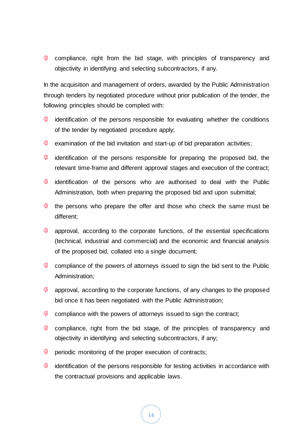$\frac{1}{2}$  compliance, right from the bid stage, with principles of transparency and objectivity in identifying and selecting subcontractors, if any.

In the acquisition and management of orders, awarded by the Public Administration through tenders by negotiated procedure without prior publication of the tender, the following principles should be complied with:

- " identification of the persons responsible for evaluating whether the conditions of the tender by negotiated procedure apply;
- $\frac{1}{2}$  examination of the bid invitation and start-up of bid preparation activities;
- the identification of the persons responsible for preparing the proposed bid, the relevant time-frame and different approval stages and execution of the contract;
- € identification of the persons who are authorised to deal with the Public Administration, both when preparing the proposed bid and upon submittal;
- the persons who prepare the offer and those who check the same must be different;
- $\approx$  approval, according to the corporate functions, of the essential specifications (technical, industrial and commercial) and the economic and financial analysis of the proposed bid, collated into a single document;
- E compliance of the powers of attorneys issued to sign the bid sent to the Public Administration;
- " approval, according to the corporate functions, of any changes to the proposed bid once it has been negotiated with the Public Administration;
- " compliance with the powers of attorneys issued to sign the contract;
- € compliance, right from the bid stage, of the principles of transparency and objectivity in identifying and selecting subcontractors, if any;
- $\epsilon$ periodic monitoring of the proper execution of contracts;
- € identification of the persons responsible for testing activities in accordance with the contractual provisions and applicable laws.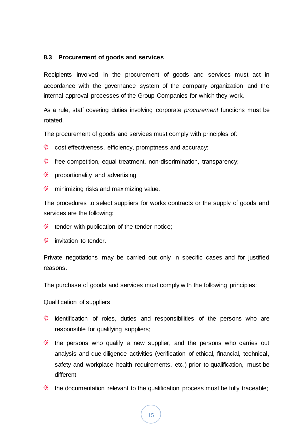#### <span id="page-14-0"></span>**8.3 Procurement of goods and services**

Recipients involved in the procurement of goods and services must act in accordance with the governance system of the company organization and the internal approval processes of the Group Companies for which they work.

As a rule, staff covering duties involving corporate *procurement* functions must be rotated.

The procurement of goods and services must comply with principles of:

- $\frac{1}{\sqrt{2}}$ cost effectiveness, efficiency, promptness and accuracy;
- $\frac{1}{2}$  free competition, equal treatment, non-discrimination, transparency;
- **EXECUTE:** proportionality and advertising;
- 治 minimizing risks and maximizing value.

The procedures to select suppliers for works contracts or the supply of goods and services are the following:

- € tender with publication of the tender notice;
- 治 invitation to tender.

Private negotiations may be carried out only in specific cases and for justified reasons.

The purchase of goods and services must comply with the following principles:

#### Qualification of suppliers

- € identification of roles, duties and responsibilities of the persons who are responsible for qualifying suppliers;
- € the persons who qualify a new supplier, and the persons who carries out analysis and due diligence activities (verification of ethical, financial, technical, safety and workplace health requirements, etc.) prior to qualification, must be different;
- the documentation relevant to the qualification process must be fully traceable;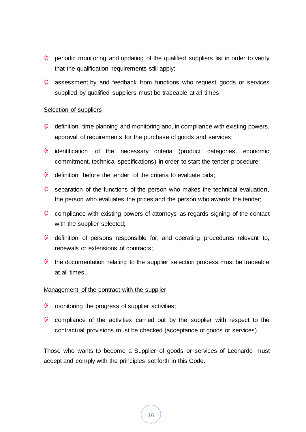- $\hat{\epsilon}$  periodic monitoring and updating of the qualified suppliers list in order to verify that the qualification requirements still apply;
- 不是 assessment by and feedback from functions who request goods or services supplied by qualified suppliers must be traceable at all times.

# Selection of suppliers

- $\ell$  definition, time planning and monitoring and, in compliance with existing powers, approval of requirements for the purchase of goods and services;
- the identification of the necessary criteria (product categories, economic commitment, technical specifications) in order to start the tender procedure;
- $\frac{1}{2}$  definition, before the tender, of the criteria to evaluate bids;
- $\frac{1}{2}$  separation of the functions of the person who makes the technical evaluation, the person who evaluates the prices and the person who awards the tender;
- $\frac{1}{2}$  compliance with existing powers of attorneys as regards signing of the contact with the supplier selected;
- $\frac{1}{2}$  definition of persons responsible for, and operating procedures relevant to, renewals or extensions of contracts;
- the documentation relating to the supplier selection process must be traceable at all times.

#### Management of the contract with the supplier

- $\frac{1}{2}$  monitoring the progress of supplier activities;
- compliance of the activities carried out by the supplier with respect to the contractual provisions must be checked (acceptance of goods or services).

Those who wants to become a Supplier of goods or services of Leonardo must accept and comply with the principles set forth in this Code.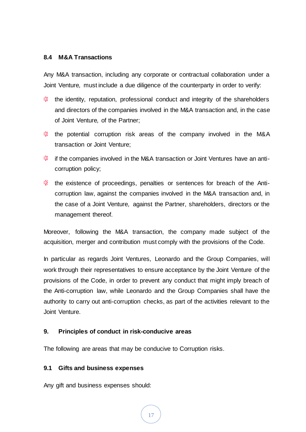#### <span id="page-16-0"></span>**8.4 M&A Transactions**

Any M&A transaction, including any corporate or contractual collaboration under a Joint Venture*,* must include a due diligence of the counterparty in order to verify:

- the identity, reputation, professional conduct and integrity of the shareholders and directors of the companies involved in the M&A transaction and, in the case of Joint Venture*,* of the Partner;
- the potential corruption risk areas of the company involved in the M&A transaction or Joint Venture;
- if the companies involved in the M&A transaction or Joint Ventures have an anticorruption policy;
- the existence of proceedings, penalties or sentences for breach of the Anticorruption law, against the companies involved in the M&A transaction and, in the case of a Joint Venture*,* against the Partner, shareholders, directors or the management thereof.

Moreover, following the M&A transaction, the company made subject of the acquisition, merger and contribution must comply with the provisions of the Code.

In particular as regards Joint Ventures*,* Leonardo and the Group Companies, will work through their representatives to ensure acceptance by the Joint Venture of the provisions of the Code, in order to prevent any conduct that might imply breach of the Anti-corruption law, while Leonardo and the Group Companies shall have the authority to carry out anti-corruption checks, as part of the activities relevant to the Joint Venture.

# <span id="page-16-1"></span>**9. Principles of conduct in risk-conducive areas**

The following are areas that may be conducive to Corruption risks.

#### <span id="page-16-2"></span>**9.1 Gifts and business expenses**

Any gift and business expenses should: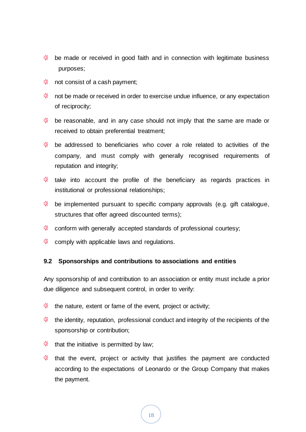- $\frac{1}{2}$  be made or received in good faith and in connection with legitimate business purposes;
- $\frac{1}{2}$  not consist of a cash payment;
- $\epsilon$ not be made or received in order to exercise undue influence, or any expectation of reciprocity;
- $\frac{1}{\sqrt{2}}$ be reasonable, and in any case should not imply that the same are made or received to obtain preferential treatment;
- be addressed to beneficiaries who cover a role related to activities of the  $\frac{1}{2}$ company, and must comply with generally recognised requirements of reputation and integrity;
- $*$  take into account the profile of the beneficiary as regards practices in institutional or professional relationships;
- $\epsilon$ be implemented pursuant to specific company approvals (e.g. gift catalogue, structures that offer agreed discounted terms);
- $\frac{1}{2}$  conform with generally accepted standards of professional courtesy;
- $\frac{1}{2}$  comply with applicable laws and regulations.

# <span id="page-17-0"></span>**9.2 Sponsorships and contributions to associations and entities**

Any sponsorship of and contribution to an association or entity must include a prior due diligence and subsequent control, in order to verify:

- $\frac{1}{2}$  the nature, extent or fame of the event, project or activity;
- " the identity, reputation, professional conduct and integrity of the recipients of the sponsorship or contribution;
- $\frac{1}{2}$  that the initiative is permitted by law;
- that the event, project or activity that justifies the payment are conducted according to the expectations of Leonardo or the Group Company that makes the payment.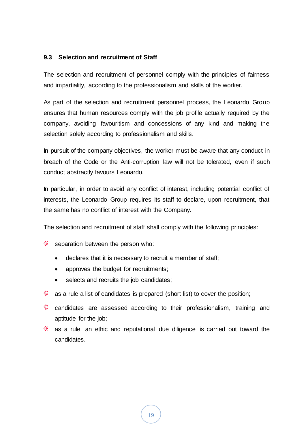# <span id="page-18-0"></span>**9.3 Selection and recruitment of Staff**

The selection and recruitment of personnel comply with the principles of fairness and impartiality, according to the professionalism and skills of the worker.

As part of the selection and recruitment personnel process, the Leonardo Group ensures that human resources comply with the job profile actually required by the company, avoiding favouritism and concessions of any kind and making the selection solely according to professionalism and skills.

In pursuit of the company objectives, the worker must be aware that any conduct in breach of the Code or the Anti-corruption law will not be tolerated, even if such conduct abstractly favours Leonardo.

In particular, in order to avoid any conflict of interest, including potential conflict of interests, the Leonardo Group requires its staff to declare, upon recruitment, that the same has no conflict of interest with the Company.

The selection and recruitment of staff shall comply with the following principles:

- € separation between the person who:
	- declares that it is necessary to recruit a member of staff;
	- approves the budget for recruitments;
	- selects and recruits the job candidates;
- € as a rule a list of candidates is prepared (short list) to cover the position;
- $\approx$  candidates are assessed according to their professionalism, training and aptitude for the job;
- $\frac{1}{\sqrt{2}}$ as a rule, an ethic and reputational due diligence is carried out toward the candidates.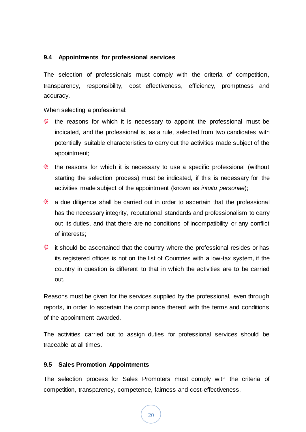# <span id="page-19-0"></span>**9.4 Appointments for professional services**

The selection of professionals must comply with the criteria of competition, transparency, responsibility, cost effectiveness, efficiency, promptness and accuracy.

When selecting a professional:

- € the reasons for which it is necessary to appoint the professional must be indicated, and the professional is, as a rule, selected from two candidates with potentially suitable characteristics to carry out the activities made subject of the appointment;
- the reasons for which it is necessary to use a specific professional (without starting the selection process) must be indicated, if this is necessary for the activities made subject of the appointment (known as *intuitu personae*);
- $\approx$  a due diligence shall be carried out in order to ascertain that the professional has the necessary integrity, reputational standards and professionalism to carry out its duties, and that there are no conditions of incompatibility or any conflict of interests;
- $\frac{1}{2}$  it should be ascertained that the country where the professional resides or has its registered offices is not on the list of Countries with a low-tax system, if the country in question is different to that in which the activities are to be carried out.

Reasons must be given for the services supplied by the professional, even through reports, in order to ascertain the compliance thereof with the terms and conditions of the appointment awarded.

The activities carried out to assign duties for professional services should be traceable at all times.

#### <span id="page-19-1"></span>**9.5 Sales Promotion Appointments**

The selection process for Sales Promoters must comply with the criteria of competition, transparency, competence, fairness and cost-effectiveness.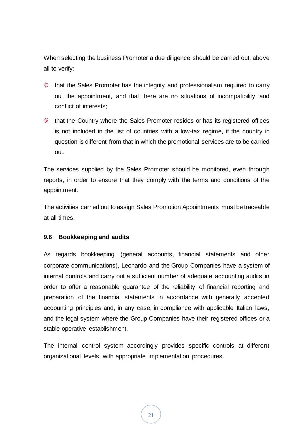When selecting the business Promoter a due diligence should be carried out, above all to verify:

- € that the Sales Promoter has the integrity and professionalism required to carry out the appointment, and that there are no situations of incompatibility and conflict of interests;
- that the Country where the Sales Promoter resides or has its registered offices is not included in the list of countries with a low-tax regime, if the country in question is different from that in which the promotional services are to be carried out.

The services supplied by the Sales Promoter should be monitored, even through reports, in order to ensure that they comply with the terms and conditions of the appointment.

The activities carried out to assign Sales Promotion Appointments must be traceable at all times.

# <span id="page-20-0"></span>**9.6 Bookkeeping and audits**

As regards bookkeeping (general accounts, financial statements and other corporate communications), Leonardo and the Group Companies have a system of internal controls and carry out a sufficient number of adequate accounting audits in order to offer a reasonable guarantee of the reliability of financial reporting and preparation of the financial statements in accordance with generally accepted accounting principles and, in any case, in compliance with applicable Italian laws, and the legal system where the Group Companies have their registered offices or a stable operative establishment.

The internal control system accordingly provides specific controls at different organizational levels, with appropriate implementation procedures.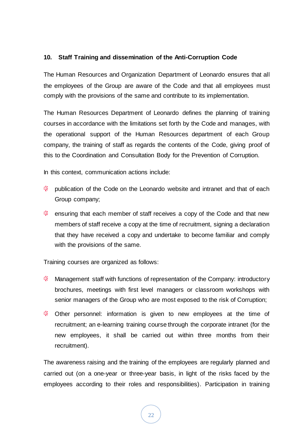# <span id="page-21-0"></span>**10. Staff Training and dissemination of the Anti-Corruption Code**

The Human Resources and Organization Department of Leonardo ensures that all the employees of the Group are aware of the Code and that all employees must comply with the provisions of the same and contribute to its implementation.

The Human Resources Department of Leonardo defines the planning of training courses in accordance with the limitations set forth by the Code and manages, with the operational support of the Human Resources department of each Group company, the training of staff as regards the contents of the Code, giving proof of this to the Coordination and Consultation Body for the Prevention of Corruption.

In this context, communication actions include:

- € publication of the Code on the Leonardo website and intranet and that of each Group company;
- E ensuring that each member of staff receives a copy of the Code and that new members of staff receive a copy at the time of recruitment, signing a declaration that they have received a copy and undertake to become familiar and comply with the provisions of the same.

Training courses are organized as follows:

- $\frac{1}{2}$ Management staff with functions of representation of the Company: introductory brochures*,* meetings with first level managers or classroom workshops with senior managers of the Group who are most exposed to the risk of Corruption;
- **Chara personnel:** information is given to new employees at the time of recruitment; an e-learning training course through the corporate intranet (for the new employees, it shall be carried out within three months from their recruitment).

The awareness raising and the training of the employees are regularly planned and carried out (on a one-year or three-year basis, in light of the risks faced by the employees according to their roles and responsibilities). Participation in training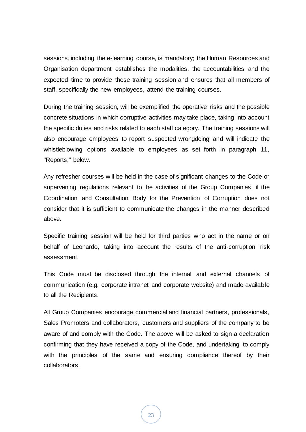sessions, including the e-learning course, is mandatory; the Human Resources and Organisation department establishes the modalities, the accountabilities and the expected time to provide these training session and ensures that all members of staff, specifically the new employees, attend the training courses.

During the training session, will be exemplified the operative risks and the possible concrete situations in which corruptive activities may take place, taking into account the specific duties and risks related to each staff category. The training sessions will also encourage employees to report suspected wrongdoing and will indicate the whistleblowing options available to employees as set forth in paragraph 11, "Reports," below.

Any refresher courses will be held in the case of significant changes to the Code or supervening regulations relevant to the activities of the Group Companies, if the Coordination and Consultation Body for the Prevention of Corruption does not consider that it is sufficient to communicate the changes in the manner described above.

Specific training session will be held for third parties who act in the name or on behalf of Leonardo, taking into account the results of the anti-corruption risk assessment.

This Code must be disclosed through the internal and external channels of communication (e.g. corporate intranet and corporate website) and made available to all the Recipients.

All Group Companies encourage commercial and financial partners, professionals, Sales Promoters and collaborators, customers and suppliers of the company to be aware of and comply with the Code. The above will be asked to sign a declaration confirming that they have received a copy of the Code, and undertaking to comply with the principles of the same and ensuring compliance thereof by their collaborators.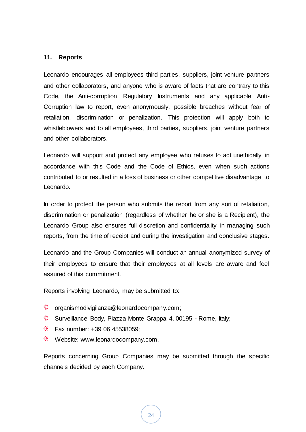#### <span id="page-23-0"></span>**11. Reports**

Leonardo encourages all employees third parties, suppliers, joint venture partners and other collaborators, and anyone who is aware of facts that are contrary to this Code, the Anti-corruption Regulatory Instruments and any applicable Anti-Corruption law to report, even anonymously, possible breaches without fear of retaliation, discrimination or penalization. This protection will apply both to whistleblowers and to all employees, third parties, suppliers, joint venture partners and other collaborators.

Leonardo will support and protect any employee who refuses to act unethically in accordance with this Code and the Code of Ethics, even when such actions contributed to or resulted in a loss of business or other competitive disadvantage to Leonardo.

In order to protect the person who submits the report from any sort of retaliation, discrimination or penalization (regardless of whether he or she is a Recipient), the Leonardo Group also ensures full discretion and confidentiality in managing such reports, from the time of receipt and during the investigation and conclusive stages.

Leonardo and the Group Companies will conduct an annual anonymized survey of their employees to ensure that their employees at all levels are aware and feel assured of this commitment.

Reports involving Leonardo, may be submitted to:

- " organismodivigilanza@leonardocompany.com;
- Surveillance Body, Piazza Monte Grappa 4, 00195 Rome, Italy;
- $\frac{1}{6}$  Fax number: +39 06 45538059;
- **<sup>«</sup>Website: www.leonardocompany.com.**

Reports concerning Group Companies may be submitted through the specific channels decided by each Company.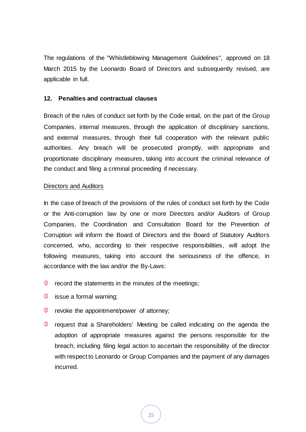The regulations of the "Whistleblowing Management Guidelines", approved on 18 March 2015 by the Leonardo Board of Directors and subsequently revised, are applicable in full.

#### <span id="page-24-0"></span>**12. Penalties and contractual clauses**

Breach of the rules of conduct set forth by the Code entail, on the part of the Group Companies, internal measures, through the application of disciplinary sanctions, and external measures, through their full cooperation with the relevant public authorities. Any breach will be prosecuted promptly, with appropriate and proportionate disciplinary measures, taking into account the criminal relevance of the conduct and filing a criminal proceeding if necessary.

#### Directors and Auditors

In the case of breach of the provisions of the rules of conduct set forth by the Code or the Anti-corruption law by one or more Directors and/or Auditors of Group Companies, the Coordination and Consultation Board for the Prevention of Corruption will inform the Board of Directors and the Board of Statutory Auditors concerned, who, according to their respective responsibilities, will adopt the following measures, taking into account the seriousness of the offence, in accordance with the law and/or the By-Laws:

- $\frac{1}{2}$  record the statements in the minutes of the meetings;
- $\frac{1}{2}$  issue a formal warning;
- $\frac{1}{2}$  revoke the appointment/power of attorney;
- **EXECUTE:** request that a Shareholders' Meeting be called indicating on the agenda the adoption of appropriate measures against the persons responsible for the breach, including filing legal action to ascertain the responsibility of the director with respect to Leonardo or Group Companies and the payment of any damages incurred.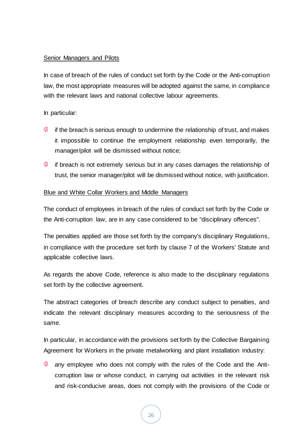# Senior Managers and Pilots

In case of breach of the rules of conduct set forth by the Code or the Anti-corruption law, the most appropriate measures will be adopted against the same, in compliance with the relevant laws and national collective labour agreements.

In particular:

- € if the breach is serious enough to undermine the relationship of trust, and makes it impossible to continue the employment relationship even temporarily, the manager/pilot will be dismissed without notice;
- € if breach is not extremely serious but in any cases damages the relationship of trust, the senior manager/pilot will be dismissed without notice, with justification.

#### Blue and White Collar Workers and Middle Managers

The conduct of employees in breach of the rules of conduct set forth by the Code or the Anti-corruption law, are in any case considered to be "disciplinary offences".

The penalties applied are those set forth by the company's disciplinary Regulations, in compliance with the procedure set forth by clause 7 of the Workers' Statute and applicable collective laws.

As regards the above Code, reference is also made to the disciplinary regulations set forth by the collective agreement.

The abstract categories of breach describe any conduct subject to penalties, and indicate the relevant disciplinary measures according to the seriousness of the same.

In particular, in accordance with the provisions set forth by the Collective Bargaining Agreement for Workers in the private metalworking and plant installation industry:

€ any employee who does not comply with the rules of the Code and the Anticorruption law or whose conduct, in carrying out activities in the relevant risk and risk-conducive areas, does not comply with the provisions of the Code or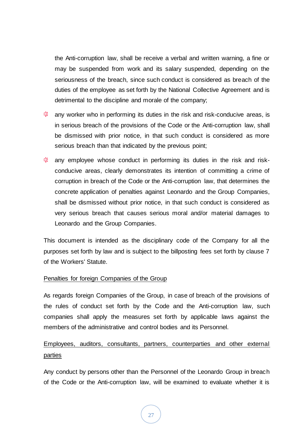the Anti-corruption law, shall be receive a verbal and written warning, a fine or may be suspended from work and its salary suspended, depending on the seriousness of the breach, since such conduct is considered as breach of the duties of the employee as set forth by the National Collective Agreement and is detrimental to the discipline and morale of the company;

- € any worker who in performing its duties in the risk and risk-conducive areas, is in serious breach of the provisions of the Code or the Anti-corruption law, shall be dismissed with prior notice, in that such conduct is considered as more serious breach than that indicated by the previous point;
- ∜ any employee whose conduct in performing its duties in the risk and riskconducive areas, clearly demonstrates its intention of committing a crime of corruption in breach of the Code or the Anti-corruption law, that determines the concrete application of penalties against Leonardo and the Group Companies, shall be dismissed without prior notice, in that such conduct is considered as very serious breach that causes serious moral and/or material damages to Leonardo and the Group Companies.

This document is intended as the disciplinary code of the Company for all the purposes set forth by law and is subject to the billposting fees set forth by clause 7 of the Workers' Statute.

# Penalties for foreign Companies of the Group

As regards foreign Companies of the Group, in case of breach of the provisions of the rules of conduct set forth by the Code and the Anti-corruption law, such companies shall apply the measures set forth by applicable laws against the members of the administrative and control bodies and its Personnel.

# Employees, auditors, consultants, partners, counterparties and other external parties

Any conduct by persons other than the Personnel of the Leonardo Group in breach of the Code or the Anti-corruption law, will be examined to evaluate whether it is